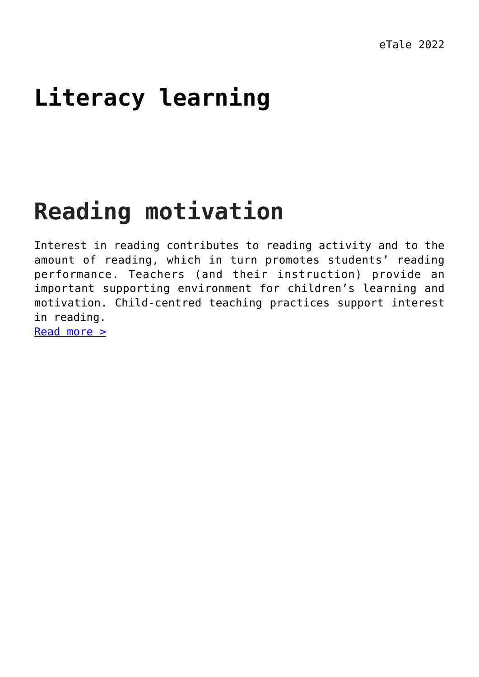## **[Literacy learning](https://dev.taleafrica.com/literacy-learning/)**

### **Reading motivation**

Interest in reading contributes to reading activity and to the amount of reading, which in turn promotes students' reading performance. Teachers (and their instruction) provide an important supporting environment for children's learning and motivation. Child-centred teaching practices support interest in reading.

[Read more >](https://dev.taleafrica.com/literacy-learning/reading-motivation/)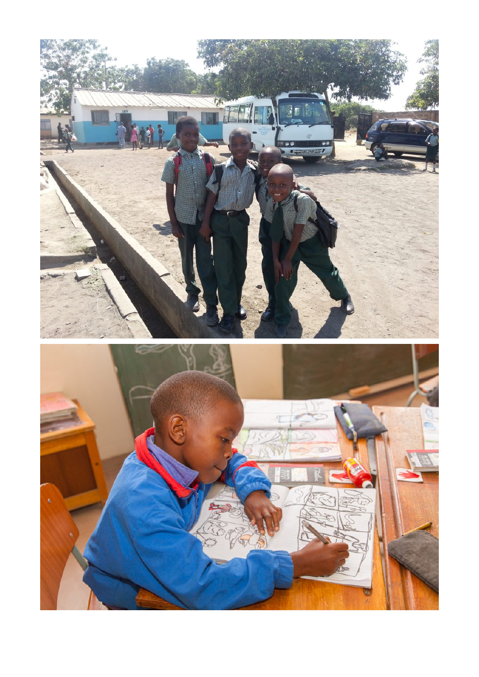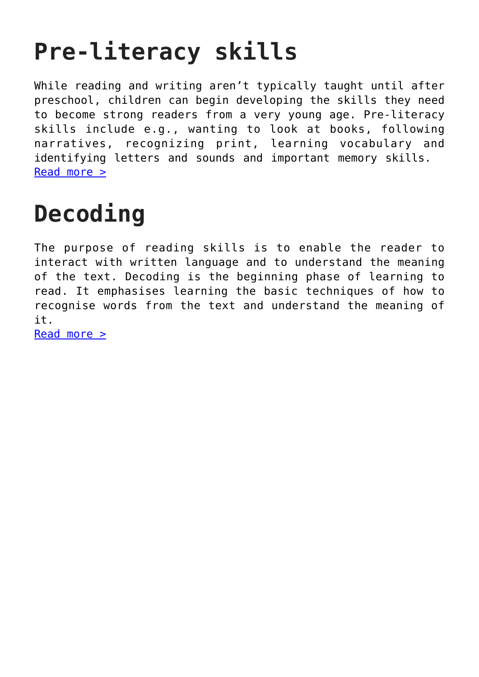# **Pre-literacy skills**

While reading and writing aren't typically taught until after preschool, children can begin developing the skills they need to become strong readers from a very young age. Pre-literacy skills include e.g., wanting to look at books, following narratives, recognizing print, learning vocabulary and identifying letters and sounds and important memory skills. [Read more >](https://dev.taleafrica.com/literacy-learning/pre-literacy-skills/)

## **Decoding**

The purpose of reading skills is to enable the reader to interact with written language and to understand the meaning of the text. Decoding is the beginning phase of learning to read. It emphasises learning the basic techniques of how to recognise words from the text and understand the meaning of it.

[Read more >](https://dev.taleafrica.com/literacy-learning/decoding-and-spelling/)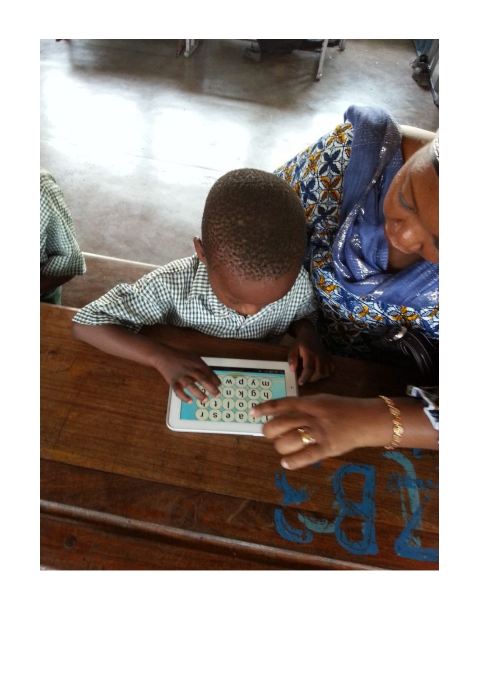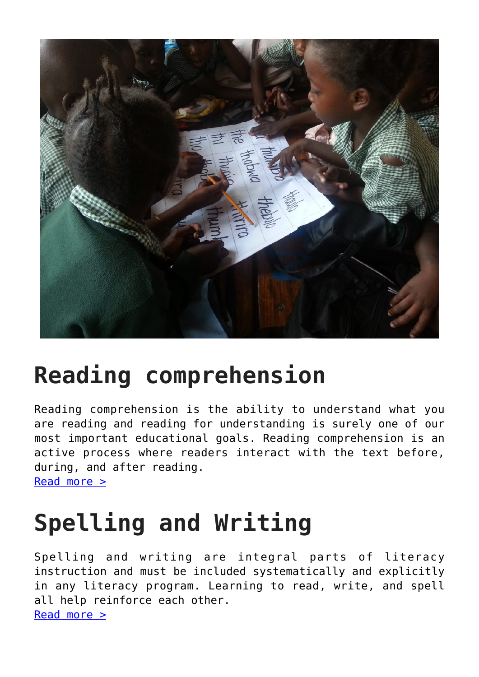

### **Reading comprehension**

Reading comprehension is the ability to understand what you are reading and reading for understanding is surely one of our most important educational goals. Reading comprehension is an active process where readers interact with the text before, during, and after reading. [Read more >](https://dev.taleafrica.com/literacy-learning/reading-comprehension/)

## **Spelling and Writing**

Spelling and writing are integral parts of literacy instruction and must be included systematically and explicitly in any literacy program. Learning to read, write, and spell all help reinforce each other. [Read more >](https://dev.taleafrica.com/literacy-learning/afrikaans/)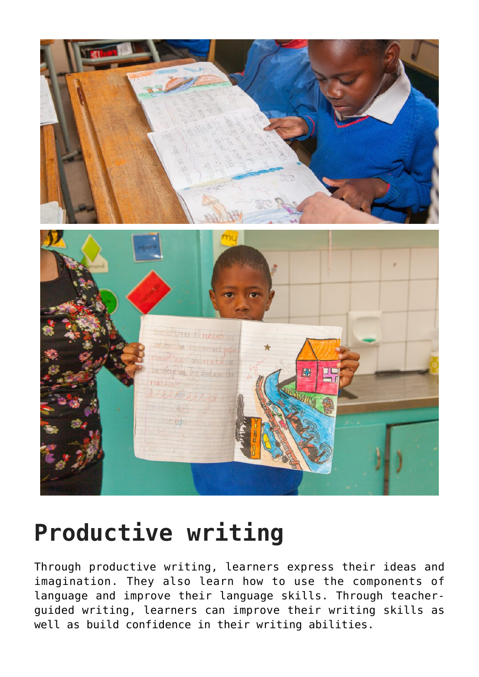

#### **Productive writing**

Through productive writing, learners express their ideas and imagination. They also learn how to use the components of language and improve their language skills. Through teacherguided writing, learners can improve their writing skills as well as build confidence in their writing abilities.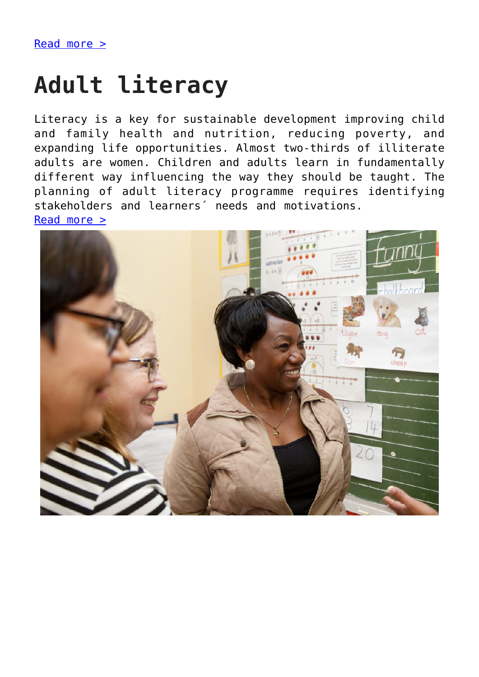#### **Adult literacy**

Literacy is a key for sustainable development improving child and family health and nutrition, reducing poverty, and expanding life opportunities. Almost two-thirds of illiterate adults are women. Children and adults learn in fundamentally different way influencing the way they should be taught. The planning of adult literacy programme requires identifying stakeholders and learners´ needs and motivations. [Read more >](https://dev.taleafrica.com/literacy-learning/adult-literacy/)